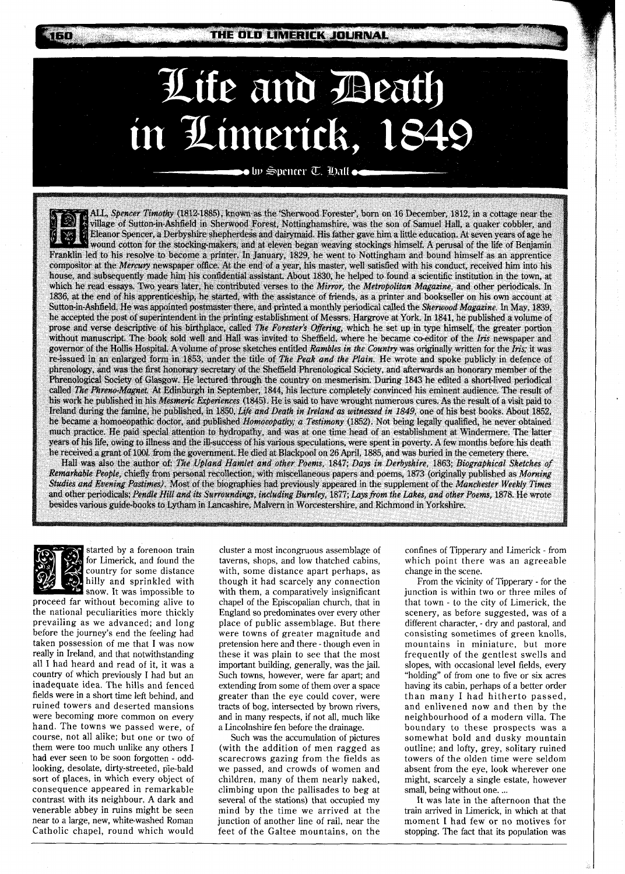THE OLD LIMERICK JOURNAL

## Life and Beath in Limerick, 1

 $\bullet$  by Spencer T. Oall  $\bullet$ 

ALL, Spencer Timothy (1812-1885), known as the 'Sherwood Forester', born on 16 December, 1812, in a cottage near the village of Sutton-in-Ashfield in Sherwood Forest, Nottinghamshire, was the son of Samuel Hall, a quaker cobbler, and Eleanor Spencer, a Derbyshire shepherdess and dairymaid. His father gave him a little education. At seven years of age he wound cotton for the stocking-makers, and at eleven began weaving stockings himself. A perusal of the life of Benjamin Franklin led to his resolve to become a printer. In January, 1829, he went to Nottingham and bound himself as an apprentice compositor at the Mercury newspaper office. At the end of a year, his master, well satisfied with his conduct, received him into his house, and subsequently made him his confidential assistant. About 1830, he helped to found a scientific institution in the town, at which he read essays. Two years later, he contributed verses to the Mirror, the Metropolitan Magazine, and other periodicals. In 1836, at the end of his apprenticeship, he started, with the assistance of friends, as a printer and bookseller on his own account at Sutton-in-Ashfield. He was appointed postmaster there, and printed a monthly periodical called the Sherwood Magazine. In May, 1839, he accepted the post of superintendent in the printing establishment of Messrs. Hargrove at York. In 1841, he published a volume of prose and verse descriptive of his birthplace, called The Forester's Offering, which he set up in type himself, the greater portion without manuscript. The book sold well and Hall was invited to Sheffield, where he became co-editor of the Iris newspaper and governor of the Hollis Hospital. A volume of prose sketches entitled Rambles in the Country was originally written for the Iris; it was re-issued in an enlarged form in 1853, under the title of The Peak and the Plain. He wrote and spoke publicly in defence of phrenology, and was the first honorary secretary of the Sheffield Phrenological Society, and afterwards an honorary member of the Phrenological Society of Glasgow. He lectured through the country on mesmerism. During 1843 he edited a short-lived periodical called The Phreno-Magnet. At Edinburgh in September, 1844, his lecture completely convinced his eminent audience. The result of his work he published in his Mesmeric Experiences (1845). He is said to have wrought numerous cures. As the result of a visit paid to Ireland during the famine, he published, in 1850, Life and Death in Ireland as witnessed in 1849, one of his best books. About 1852. he became a homoeopathic doctor, and published Homoeopathy, a Testimony (1852). Not being legally qualified, he never obtained much practice. He paid special attention to hydropathy, and was at one time head of an establishment at Windermere. The latter years of his life, owing to illness and the ill-success of his various speculations, were spent in poverty. A few months before his death he received a grant of 100l. from the government. He died at Blackpool on 26 April, 1885, and was buried in the cemetery there

Hall was also the author of: The Upland Hamlet and other Poems, 1847; Days in Derbyshire, 1863; Biographical Sketches of Remarkable People, chiefly from personal recollection, with miscellaneous papers and poems, 1873 (originally published as Morning Studies and Evening Pastimes). Most of the biographies had previously appeared in the supplement of the Manchester Weekly Times and other periodicals; Pendle Hill and its Surroundings, including Burnley, 1877; Lays from the Lakes, and other Poems, 1878. He wrote besides various guide-books to Lytham in Lancashire, Malvern in Worcestershire, and Richmond in Yorkshire.



**arta** 

started by a forenoon train for Limerick, and found the country for some distance hilly and sprinkled with snow. It was impossible to

proceed far without becoming alive to the national peculiarities more thickly prevailing as we advanced; and long before the journey's end the feeling had taken possession of me that I was now really in Ireland, and that notwithstanding all I had heard and read of it, it was a country of which previously I had but an inadequate idea. The hills and fenced fields were in a short time left behind, and ruined towers and deserted mansions were becoming more common on every hand. The towns we passed were, of course, not all alike; but one or two of them were too much unlike any others I had ever seen to be soon forgotten - oddlooking, desolate, dirty-streeted, pie-bald sort of glaces, in which every object of consequence appeared in remarkable contrast with its neighbour. **A** dark and venerable abbey in ruins might be seen near to a large, new, white-washed Roman Catholic chapel, round which would

cluster a most incongruous assemblage of taverns, shops, and low thatched cabins, with, some distance apart perhaps, as though it had scarcely any connection with them, a comparatively insignificant chapel of the Episcopalian church, that in England so predominates over every other place of public assemblage. But there were towns of greater magnitude and pretension here and there - though even in these it was plain to see that the most important building, generally, was the jail. Such towns, however, were far apart; and extending from some of them over a space greater than the eye could cover, were tracts of bog, intersected by brown rivers, and in many respects, if not all, much like a Lincolnshire fen before the drainage.

Such was the accumulation of pictures (with the addition of men ragged as scarecrows gazing from the fields as we passed, and crowds of women and children, many of them nearly naked, climbing upon the pallisades to beg at several of the stations) that occupied my mind by the time we arrived at the junction of another line of rail, near the feet of the Galtee mountains, on the confines of Tipperary and Limerick - from which point there was an agreeable change in the scene.

From the vicinity of Tipperary - for the junction is within two or three miles of that town - to the city of Limerick, the scenery, as before suggested, was of a different character, - dry and pastoral, and consisting sometimes of green knolls, mountains in miniature, but more frequently of the gentlest swells and slopes, with occasional level fields, every "holding" of from one to five or six acres having its cabin, perhaps of a better order than many I had hitherto passed, and enlivened now and then by the neighbourhood of a modern villa. The boundary to these prospects was a somewhat bold and dusky mountain outline; and lofty, grey, solitary ruined towers of the olden time were seldom absent from the eye, look wherever one might, scarcely a single estate, however small, being without one. ...

It was late in the afternoon that the train arrived in Limerick, in which at that moment I had few or no motives for stopping. The fact that its population was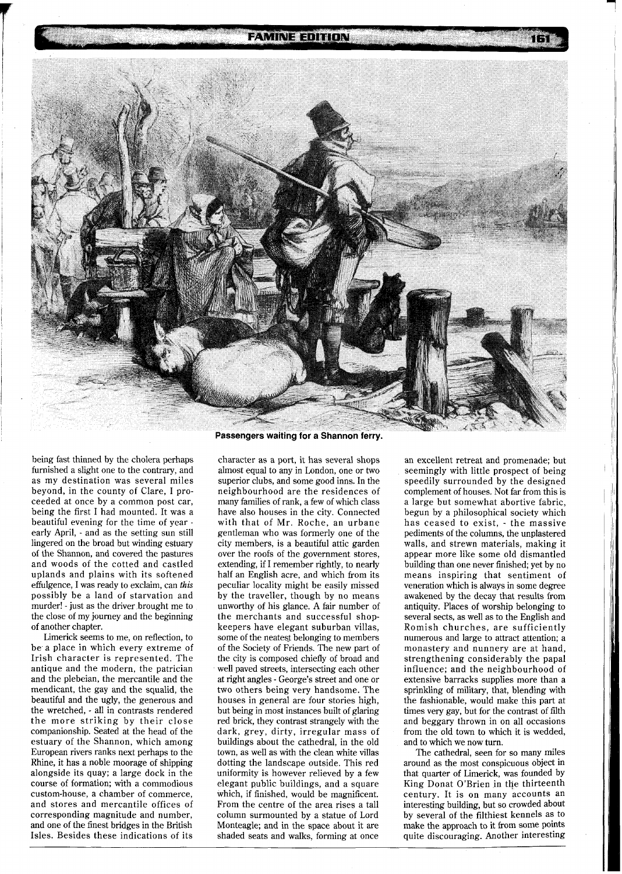**FAMINE EDITION** 



being fast thinned by the cholera perhaps furnished a slight one to the contrary, and as my destination was several miles beyond, in the county of Clare, I proceeded at once by a common post car, being the first I had mounted. It was a beautiful evening for the time of year early April, - and as the setting sun still lingered on the broad but winding estuary of the Shannon, and covered the pastures and woods of the cotted and castled uplands and plains with its softened effulgence, I was ready to exclaim, can **this**  possibly be a land of starvation and murder! - just as the driver brought me to the close of my journey and the beginning of another chapter.

Limerick seems to me, on reflection, to be a place in which every extreme of Irish character is represented. The antique and the modern, the patrician and the plebeian, the mercantile and the mendicant, the gay and the squalid, the beautiful and the ugly, the generous and the wretched, - all in contrasts rendered the more striking by their close companionship. Seated at the head of the estuary of the Shannon, which among European rivers ranks next perhaps to the Rhine, it has a noble moorage of shipping alongside its quay; a large dock in the course of formation; with a commodious custom-house, a chamber of commerce, and stores and mercantile offices of corresponding magnitude and number, and one of the finest bridges in the British Isles. Besides these indications of its

character as a port, it has several shops almost equal to any in London, one or two superior clubs, and some good inns. In the neighbourhood are the residences of many families of rank, a few of which class have also houses in the city. Connected with that of Mr. Roche, an urbane gentleman who was formerly one of the city members, is a beautiful attic garden over the roofs of the government stores, extending, if I remember rightly, to nearly half an English acre, and which from its peculiar locality might be easily missed by the traveller, though by no means unworthy of his glance. A fair number of the merchants and successful shopkeepers have elegant suburban villas, some of the neatest belonging to members of the Society of Friends. The new part of the city is composed chiefly of broad and well paved streets, intersecting each other at right angles - George's street and one or two others being very handsome. The houses in general are four stories high, but being in most instances built of glaring red brick, they contrast strangely with the dark, grey, dirty, irregular mass of buildings about the cathedral, in the old town, as well as with the clean white villas dotting the landscape outside. This red uniformity is however relieved by a few elegant public buildings, and a square which, if finished, would be magnificent. From the centre of the area rises a tall column surmounted by a statue of Lord Monteagle; and in the space about it are shaded seats and walks, forming at once

an excellent retreat and promenade; but seemingly with little prospect of being speedily surrounded by the designed complement of houses. Not far from this is a large but somewhat abortive fabric, begun by a philosophical society which has ceased to exist, - the massive pediments of the columns, the unplastered walls, and strewn materials, making it appear more like some old dismantled building than one never finished; yet by no means inspiring that sentiment of veneration which is always in some degree awakened by the decay that results from antiquity. Places of worship belonging to several sects, as well as to the English and Romish churches, are sufficiently numerous and large to attract attention; a monastery and nunnery are at hand, strengthening considerably the papal influence; and the neighbourhood of extensive barracks supplies more than a sprinkling of military, that, blending with the fashionable, would make this part at times very gay, but for the contrast of filth and beggary thrown in on all occasions from the old town to which it is wedded, and to which we now turn.

The cathedral, seen for so many miles around as the most conspicuous object in that quarter of Limerick, was founded by King Donat O'Brien in the thirteenth century. It is on many accounts an interesting building, but so crowded about by several of the filthiest kennels as to make the approach to it from some points quite discouraging. Another interesting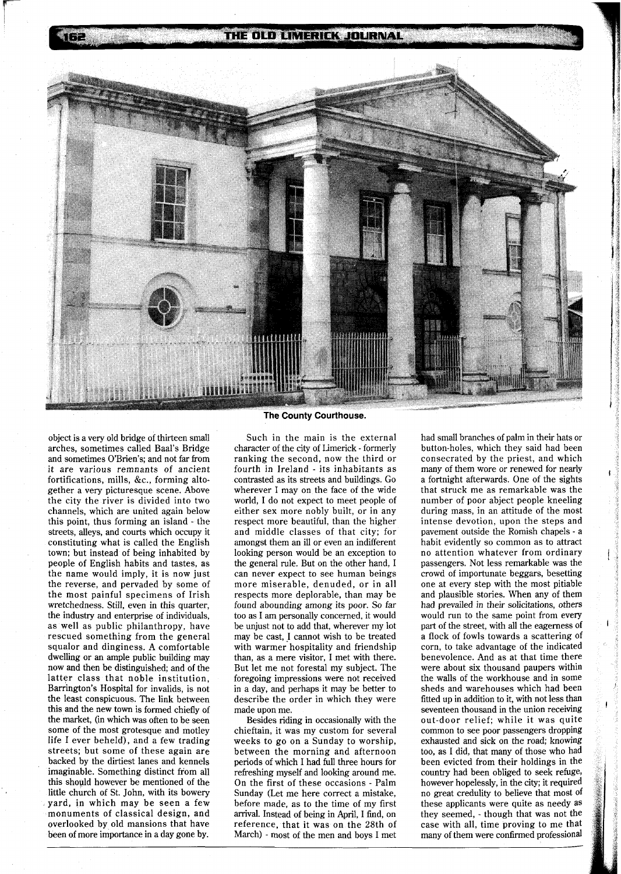

object is a very old bridge of thirteen small arches, sometimes called Baal's Bridge and sometimes O'Brien's; and not far from it are various remnants of ancient fortifications, mills, &C., forming altogether a very picturesque scene. Above the city the river is divided into two channels, which are united again below this point, thus forming an island - the streets, alleys, and courts which occupy it constituting what is called the English town; but instead of being inhabited by people of English habits and tastes, as the name would imply, it is now just the reverse, and pervaded by some of the most painful specimens of Irish wretchedness. Still, even in this quarter, the industry and enterprise of individuals, as well as public philanthropy, have rescued something from the general squalor and dinginess. A comfortable dwelling or an ample public building may now and then be distinguished; and of the latter class that noble institution, Barrington's Hospital for invalids, is not the least conspicuous. The link between this and the new town is formed chiefly of the market, (in which was often to be seen some of the most grotesque and motley life I ever beheld), and a few trading streets; but some of these again are backed by the dirtiest lanes and kennels imaginable. Something distinct from all this should however be mentioned of the little church of St. John, with its bowery yard, in which may be seen a few monuments of classical design, and overlooked by old mansions that have been of more importance in a day gone by.

## **The County Courthouse.**

Such in the main is the external character of the city of Limerick - formerly ranking the second, now the third or fourth in Ireland - its inhabitants as contrasted as its streets and buildings. Go wherever I may on the face of the wide world, I do not expect to meet people of either sex more nobly built, or in any respect more beautiful, than the higher and middle classes of that city; for amongst them an ill or even an indifferent looking person would be an exception to the general rule. But on the other hand, I can never expect to see human beings more miserable, denuded, or in all respects more deplorable, than may be found abounding among its poor. So far too as I am personally concerned, it would be unjust not to add that, wherever my lot may be cast, 1 cannot wish to be treated with warmer hospitality and friendship than, as a mere visitor, I met with there. But let me not forestal my subject. The foregoing impressions were not received in a day, and perhaps it may be better to describe the order in which they were made upon me.

Besides riding in occasionally with the chieftain, it was my custom for several weeks to go on a Sunday to worship, between the morning and afternoon periods of which I had full three hours for refreshing myself and looking around me. On the first of these occasions - Palm Sunday (Let me here correct a mistake, before made, as to the time of my first arrival. Instead of being in April, I find, on reference, that it was on the 28th of March) - most of the men and boys I met had small branches of palm in their hats or button-holes, which they said had been consecrated by the priest, and which many of them wore or renewed for nearly a fortnight afterwards. One of the sights that struck me as remarkable was the number of poor abject people kneeling during mass, in an attitude of the most intense devotion, upon the steps and pavement outside the Romish chapels - a habit evidently so common as to attract no attention whatever from ordinary passengers. Not less remarkable was the crowd of importunate beggars, besetting one at every step with the most pitiable and plausible stories. When any of them had prevailed in their solicitations, others would run to the same point from every part of the street, with all the eagerness of a flock of fowls towards a scattering of corn, to take advantage of the indicated benevolence. And as at that time there were about six thousand paupers within the walls of the workhouse and in some sheds and warehouses which had been fitted up in addition to it, with not less than seventeen thousand in the union receiving out-door relief; while it was quite common to see poor passengers dropping exhausted and sick on the road; knowing too, as I did, that many of those who had been evicted from their holdings in the country had been obliged to seek refuge, however hopelessly, in the city; it required no great credulity to believe that most of these applicants were quite as needy as they seemed, - though that was not the case with all, time proving to me that many of them were confirmed professional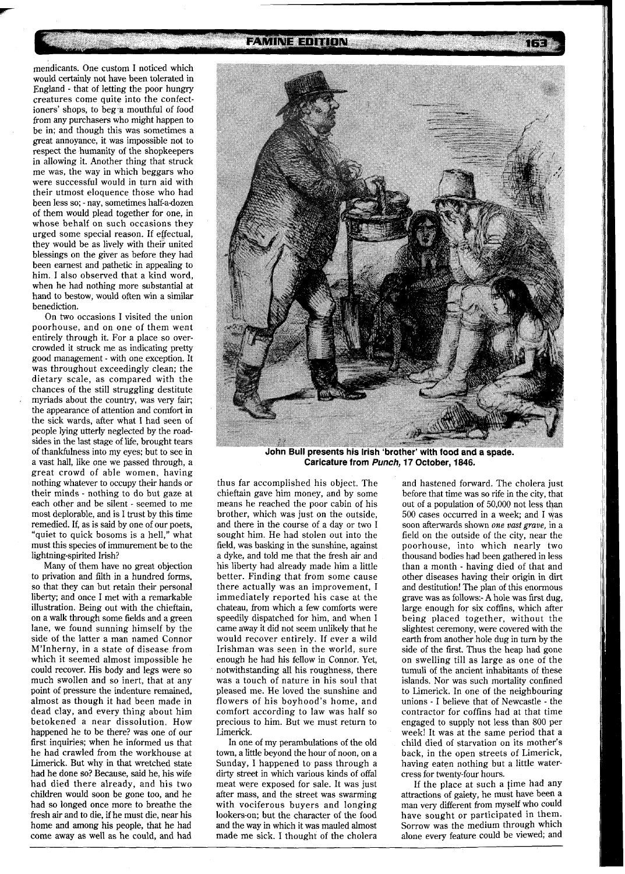**FAMINE EDITION** 

mendicants. One custom I noticed which would certainly not have been tolerated in England - that of letting the poor hungry creatures come quite into the confectioners' shops, to beg a mouthful of food from any purchasers who might happen to be in; and though this was sometimes a great annoyance, it was impossible not to respect the humanity of the shopkeepers in allowing it. Another thing that struck me was, the way in which beggars who were successful would in turn aid with their utmost eloquence those who had been less so; - nay, sometimes half-a-dozen of them would plead together for one, in whose behalf on such occasions they urged some special reason. If effectual, they would be as lively with their united blessings on the giver as before they had been earnest and pathetic in appealing to him. I also observed that a kind word, when he had nothing more substantial at hand to bestow, would often win a similar benediction.

On two occasions I visited the union poorhouse, and on one of them went entirely through it. For a place so overcrowded it struck me as indicating pretty good management - with one exception. It was throughout exceedingly clean; the dietary scale, as compared with the chances of the still struggling destitute myriads about the country, was very fair; the appearance of attention and comfort in the sick wards, after what I had seen of people lying utterly neglected by the roadsides in the last stage of life, brought tears of thankfulness into my eyes; but to see in a vast hall, like one we passed through, a great crowd of able women, having nothing whatever to occupy their hands or their minds - nothing to do but gaze at each other and be silent - seemed to me most deplorable, and is I trust by this time remedied. If, as is said by one of our poets, "quiet to quick bosoms is a hell," what must this species of immurement be to the lightning-spirited Irish?

Many of them have no great objection to privation and filth in a hundred forms, so that they can but retain their personal liberty; and once I met with a remarkable illustration. Being out with the chieftain, on a walk through some fields and a green lane, we found sunning himself by the side of the latter a man named Connor M'Inherny, in a state of disease from which it seemed almost impossible he could recover. His body and legs were so much swollen and so inert, that at any point of pressure the indenture remained, almost as though it had been made in dead clay, and every thing about him betokened a near dissolution. How happened he to be there? was one of our first inquiries; when he informed us that he had crawled from the workhouse at Limerick. But why in that wretched state had he done so? Because, said he, his wife had died there already, and his two children would soon be gone too, and he had so longed once more to breathe the fresh air and to die, if he must die, near his home and among his people, that he had come away as well as he could, and had



**caricature from Punch, 17 October, 1846.**  John Bull presents his Irish 'brother' with food and a spade.

thus far accomplished his object. The chieftain gave him money, and by some means he reached the poor cabin of his brother, which was just on the outside, and there in the course of a day or two I sought him. He had stolen out into the field, was basking in the sunshine, against a dyke, and told me that the fresh air and his liberty had already made him a little better. Finding that from some cause there actually was an improvement, I immediately reported his case at the chateau, from which a few comforts were speedily dispatched for him, and when I came away it did not seem unlikely that he would recover entirely. If ever a wild Irishman was seen in the world, sure enough he had his fellow in Connor. Yet, notwithstanding all his roughness, there was a touch of nature in his soul that pleased me. He loved the sunshine and flowers of his boyhood's home, and comfort according to law was half so precious to him. But we must return to Limerick.

In one of my perambulations of the old town, a little beyond the hour of noon, on a Sunday, 1 happened to pass through a dirty street in which various kinds of offal meat were exposed for sale. It was just after mass, and the street was swarming with vociferous buyers and longing lookers-on; but the character of the food and the way in which it was mauled almost made me sick. I thought of the cholera

and hastened forward. The cholera just before that time was so rife in the city, that out of a population of 50,000 not less than 500 cases occurred in a week; and I was soon afterwards shown *one* **vast** *grave,* in a field on the outside of the city, near the poorhouse, into which nearly two thousand bodies had been gathered in less than a month - having died of that and other diseases having their origin in dirt and destitution! The plan of this enormous grave was as follows:- **A** hole was first dug, large enough for six coffins, which after being placed together, without the slightest ceremony, were covered with the earth from another hole dug in turn by the side of the first. Thus the heap had gone on swelling till as large as one of the tumuli of the ancient inhabitants of these islands. Nor was such mortality confined to Limerick. In one of the neighbouring unions - I believe that of Newcastle - the contractor for coffins had at that time engaged to supply not less than 800 per week! It was at the same period that a child died of starvation on its mother's back, in the open streets of Limerick, having eaten nothing but a little watercress for twenty-four hours.

If the place at such a time had any attractions of gaiety, he must have been a man very different from myself who could have sought or participated in them. Sorrow was the medium through which alone every feature could be viewed; and